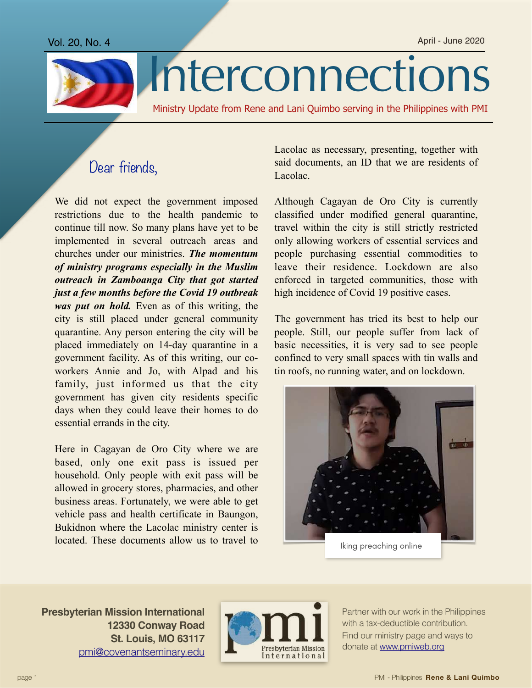

## Interconnections

Ministry Update from Rene and Lani Quimbo serving in the Philippines with PMI

## Dear friends,

We did not expect the government imposed restrictions due to the health pandemic to continue till now. So many plans have yet to be implemented in several outreach areas and churches under our ministries. *The momentum of ministry programs especially in the Muslim outreach in Zamboanga City that got started just a few months before the Covid 19 outbreak was put on hold.* Even as of this writing, the city is still placed under general community quarantine. Any person entering the city will be placed immediately on 14-day quarantine in a government facility. As of this writing, our coworkers Annie and Jo, with Alpad and his family, just informed us that the city government has given city residents specific days when they could leave their homes to do essential errands in the city.

Here in Cagayan de Oro City where we are based, only one exit pass is issued per household. Only people with exit pass will be allowed in grocery stores, pharmacies, and other business areas. Fortunately, we were able to get vehicle pass and health certificate in Baungon, Bukidnon where the Lacolac ministry center is located. These documents allow us to travel to

Lacolac as necessary, presenting, together with said documents, an ID that we are residents of Lacolac.

Although Cagayan de Oro City is currently classified under modified general quarantine, travel within the city is still strictly restricted only allowing workers of essential services and people purchasing essential commodities to leave their residence. Lockdown are also enforced in targeted communities, those with high incidence of Covid 19 positive cases.

The government has tried its best to help our people. Still, our people suffer from lack of basic necessities, it is very sad to see people confined to very small spaces with tin walls and tin roofs, no running water, and on lockdown.



**Presbyterian Mission International 12330 Conway Road St. Louis, MO 63117** [pmi@covenantseminary.edu](mailto:pmi@covenantseminary.edu)



Partner with our work in the Philippines with a tax-deductible contribution. Find our ministry page and ways to donate at [www.pmiweb.org](http://www.pmiweb.org)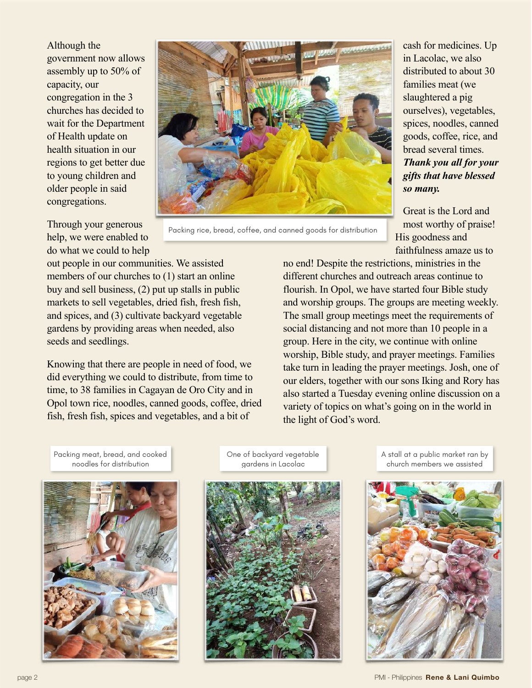Although the government now allows assembly up to 50% of capacity, our congregation in the 3 churches has decided to wait for the Department of Health update on health situation in our regions to get better due to young children and older people in said congregations.



Packing rice, bread, coffee, and canned goods for distribution

Through your generous help, we were enabled to do what we could to help

out people in our communities. We assisted members of our churches to (1) start an online buy and sell business, (2) put up stalls in public markets to sell vegetables, dried fish, fresh fish, and spices, and (3) cultivate backyard vegetable gardens by providing areas when needed, also seeds and seedlings.

Knowing that there are people in need of food, we did everything we could to distribute, from time to time, to 38 families in Cagayan de Oro City and in Opol town rice, noodles, canned goods, coffee, dried fish, fresh fish, spices and vegetables, and a bit of

cash for medicines. Up in Lacolac, we also distributed to about 30 families meat (we slaughtered a pig ourselves), vegetables, spices, noodles, canned goods, coffee, rice, and bread several times. *Thank you all for your gifts that have blessed so many.* 

Great is the Lord and most worthy of praise! His goodness and faithfulness amaze us to

no end! Despite the restrictions, ministries in the different churches and outreach areas continue to flourish. In Opol, we have started four Bible study and worship groups. The groups are meeting weekly. The small group meetings meet the requirements of social distancing and not more than 10 people in a group. Here in the city, we continue with online worship, Bible study, and prayer meetings. Families take turn in leading the prayer meetings. Josh, one of our elders, together with our sons Iking and Rory has also started a Tuesday evening online discussion on a variety of topics on what's going on in the world in the light of God's word.

Packing meat, bread, and cooked noodles for distribution



One of backyard vegetable gardens in Lacolac



A stall at a public market ran by church members we assisted



page 2 PMI - Philippines **Rene & Lani Quimbo**